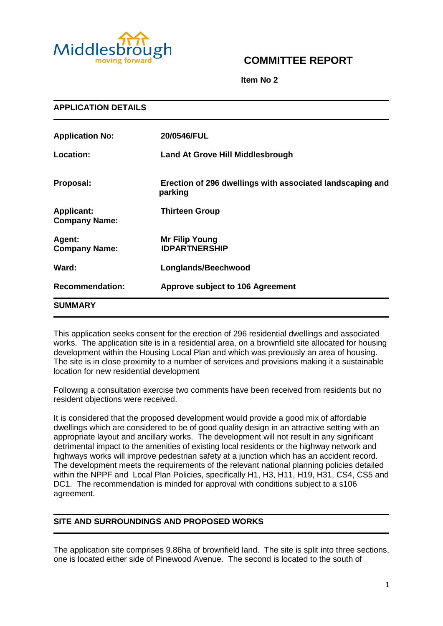

# **COMMITTEE REPORT**

**Item No 2**

| <b>APPLICATION DETAILS</b>                |                                                                      |  |
|-------------------------------------------|----------------------------------------------------------------------|--|
| <b>Application No:</b>                    | 20/0546/FUL                                                          |  |
| Location:                                 | <b>Land At Grove Hill Middlesbrough</b>                              |  |
| Proposal:                                 | Erection of 296 dwellings with associated landscaping and<br>parking |  |
| <b>Applicant:</b><br><b>Company Name:</b> | <b>Thirteen Group</b>                                                |  |
| Agent:<br><b>Company Name:</b>            | <b>Mr Filip Young</b><br><b>IDPARTNERSHIP</b>                        |  |
| Ward:                                     | Longlands/Beechwood                                                  |  |
| <b>Recommendation:</b>                    | Approve subject to 106 Agreement                                     |  |
| <b>SUMMARY</b>                            |                                                                      |  |

This application seeks consent for the erection of 296 residential dwellings and associated works. The application site is in a residential area, on a brownfield site allocated for housing development within the Housing Local Plan and which was previously an area of housing. The site is in close proximity to a number of services and provisions making it a sustainable location for new residential development

Following a consultation exercise two comments have been received from residents but no resident objections were received.

It is considered that the proposed development would provide a good mix of affordable dwellings which are considered to be of good quality design in an attractive setting with an appropriate layout and ancillary works. The development will not result in any significant detrimental impact to the amenities of existing local residents or the highway network and highways works will improve pedestrian safety at a junction which has an accident record. The development meets the requirements of the relevant national planning policies detailed within the NPPF and Local Plan Policies, specifically H1, H3, H11, H19, H31, CS4, CS5 and DC1. The recommendation is minded for approval with conditions subject to a s106 agreement.

# **SITE AND SURROUNDINGS AND PROPOSED WORKS**

The application site comprises 9.86ha of brownfield land. The site is split into three sections, one is located either side of Pinewood Avenue. The second is located to the south of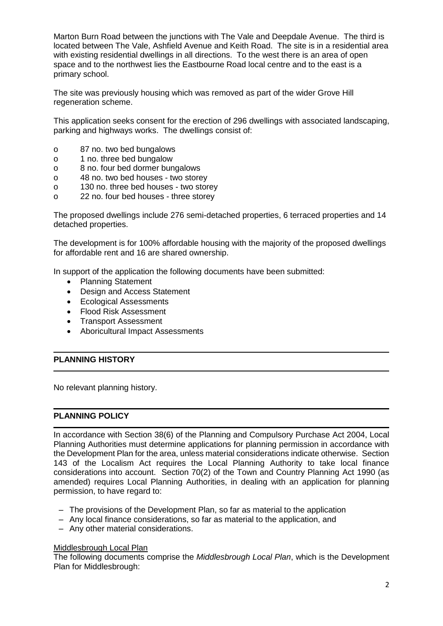Marton Burn Road between the junctions with The Vale and Deepdale Avenue. The third is located between The Vale, Ashfield Avenue and Keith Road. The site is in a residential area with existing residential dwellings in all directions. To the west there is an area of open space and to the northwest lies the Eastbourne Road local centre and to the east is a primary school.

The site was previously housing which was removed as part of the wider Grove Hill regeneration scheme.

This application seeks consent for the erection of 296 dwellings with associated landscaping, parking and highways works. The dwellings consist of:

- o 87 no. two bed bungalows
- o 1 no. three bed bungalow
- o 8 no. four bed dormer bungalows
- o 48 no. two bed houses two storey
- o 130 no. three bed houses two storey
- o 22 no. four bed houses three storey

The proposed dwellings include 276 semi-detached properties, 6 terraced properties and 14 detached properties.

The development is for 100% affordable housing with the majority of the proposed dwellings for affordable rent and 16 are shared ownership.

In support of the application the following documents have been submitted:

- Planning Statement
- Design and Access Statement
- Ecological Assessments
- Flood Risk Assessment
- Transport Assessment
- Aboricultural Impact Assessments

### **PLANNING HISTORY**

No relevant planning history.

### **PLANNING POLICY**

In accordance with Section 38(6) of the Planning and Compulsory Purchase Act 2004, Local Planning Authorities must determine applications for planning permission in accordance with the Development Plan for the area, unless material considerations indicate otherwise. Section 143 of the Localism Act requires the Local Planning Authority to take local finance considerations into account. Section 70(2) of the Town and Country Planning Act 1990 (as amended) requires Local Planning Authorities, in dealing with an application for planning permission, to have regard to:

- The provisions of the Development Plan, so far as material to the application
- Any local finance considerations, so far as material to the application, and
- Any other material considerations.

#### Middlesbrough Local Plan

The following documents comprise the *Middlesbrough Local Plan*, which is the Development Plan for Middlesbrough: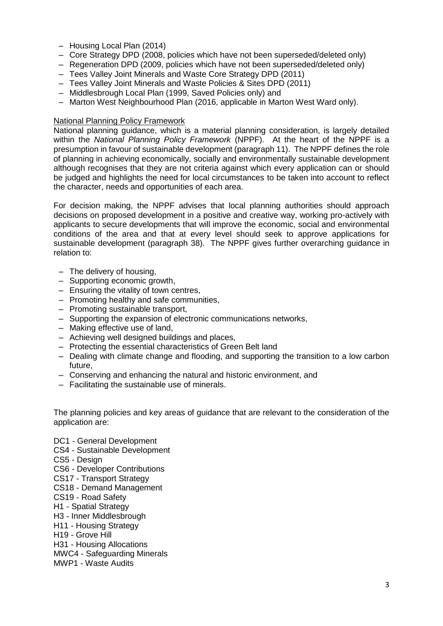- Housing Local Plan (2014)
- Core Strategy DPD (2008, policies which have not been superseded/deleted only)
- Regeneration DPD (2009, policies which have not been superseded/deleted only)
- Tees Valley Joint Minerals and Waste Core Strategy DPD (2011)
- Tees Valley Joint Minerals and Waste Policies & Sites DPD (2011)
- Middlesbrough Local Plan (1999, Saved Policies only) and
- Marton West Neighbourhood Plan (2016, applicable in Marton West Ward only).

### National Planning Policy Framework

National planning guidance, which is a material planning consideration, is largely detailed within the *National Planning Policy Framework* (NPPF). At the heart of the NPPF is a presumption in favour of sustainable development (paragraph 11). The NPPF defines the role of planning in achieving economically, socially and environmentally sustainable development although recognises that they are not criteria against which every application can or should be judged and highlights the need for local circumstances to be taken into account to reflect the character, needs and opportunities of each area.

For decision making, the NPPF advises that local planning authorities should approach decisions on proposed development in a positive and creative way, working pro-actively with applicants to secure developments that will improve the economic, social and environmental conditions of the area and that at every level should seek to approve applications for sustainable development (paragraph 38). The NPPF gives further overarching guidance in relation to:

- The delivery of housing,
- Supporting economic growth,
- Ensuring the vitality of town centres,
- Promoting healthy and safe communities,
- Promoting sustainable transport,
- Supporting the expansion of electronic communications networks,
- Making effective use of land,
- Achieving well designed buildings and places,
- Protecting the essential characteristics of Green Belt land
- Dealing with climate change and flooding, and supporting the transition to a low carbon future,
- Conserving and enhancing the natural and historic environment, and
- Facilitating the sustainable use of minerals.

The planning policies and key areas of guidance that are relevant to the consideration of the application are:

- DC1 General Development
- CS4 Sustainable Development
- CS5 Design
- CS6 Developer Contributions
- CS17 Transport Strategy
- CS18 Demand Management
- CS19 Road Safety
- H1 Spatial Strategy
- H3 Inner Middlesbrough
- H11 Housing Strategy
- H19 Grove Hill
- H31 Housing Allocations
- MWC4 Safeguarding Minerals
- MWP1 Waste Audits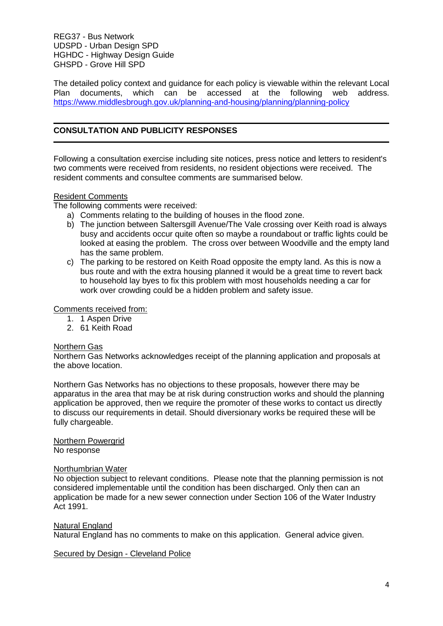REG37 - Bus Network UDSPD - Urban Design SPD HGHDC - Highway Design Guide GHSPD - Grove Hill SPD

The detailed policy context and guidance for each policy is viewable within the relevant Local Plan documents, which can be accessed at the following web address. <https://www.middlesbrough.gov.uk/planning-and-housing/planning/planning-policy>

# **CONSULTATION AND PUBLICITY RESPONSES**

Following a consultation exercise including site notices, press notice and letters to resident's two comments were received from residents, no resident objections were received. The resident comments and consultee comments are summarised below.

# Resident Comments

The following comments were received:

- a) Comments relating to the building of houses in the flood zone.
- b) The junction between Saltersgill Avenue/The Vale crossing over Keith road is always busy and accidents occur quite often so maybe a roundabout or traffic lights could be looked at easing the problem. The cross over between Woodville and the empty land has the same problem.
- c) The parking to be restored on Keith Road opposite the empty land. As this is now a bus route and with the extra housing planned it would be a great time to revert back to household lay byes to fix this problem with most households needing a car for work over crowding could be a hidden problem and safety issue.

#### Comments received from:

- 1. 1 Aspen Drive
- 2. 61 Keith Road

#### Northern Gas

Northern Gas Networks acknowledges receipt of the planning application and proposals at the above location.

Northern Gas Networks has no objections to these proposals, however there may be apparatus in the area that may be at risk during construction works and should the planning application be approved, then we require the promoter of these works to contact us directly to discuss our requirements in detail. Should diversionary works be required these will be fully chargeable.

#### Northern Powergrid No response

#### Northumbrian Water

No objection subject to relevant conditions. Please note that the planning permission is not considered implementable until the condition has been discharged. Only then can an application be made for a new sewer connection under Section 106 of the Water Industry Act 1991.

#### Natural England

Natural England has no comments to make on this application. General advice given.

#### Secured by Design - Cleveland Police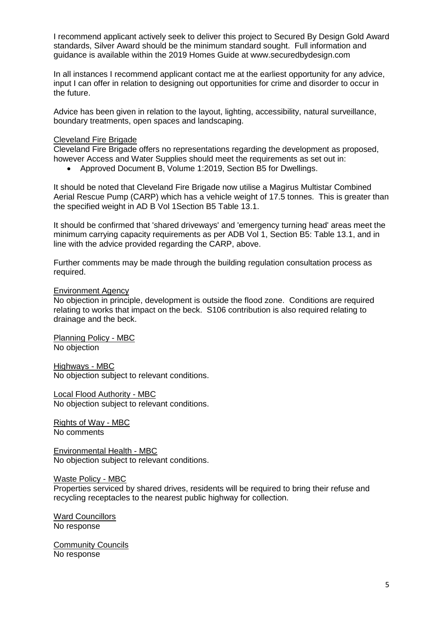I recommend applicant actively seek to deliver this project to Secured By Design Gold Award standards, Silver Award should be the minimum standard sought. Full information and guidance is available within the 2019 Homes Guide at www.securedbydesign.com

In all instances I recommend applicant contact me at the earliest opportunity for any advice, input I can offer in relation to designing out opportunities for crime and disorder to occur in the future.

Advice has been given in relation to the layout, lighting, accessibility, natural surveillance, boundary treatments, open spaces and landscaping.

### Cleveland Fire Brigade

Cleveland Fire Brigade offers no representations regarding the development as proposed, however Access and Water Supplies should meet the requirements as set out in:

Approved Document B, Volume 1:2019, Section B5 for Dwellings.

It should be noted that Cleveland Fire Brigade now utilise a Magirus Multistar Combined Aerial Rescue Pump (CARP) which has a vehicle weight of 17.5 tonnes. This is greater than the specified weight in AD B Vol 1Section B5 Table 13.1.

It should be confirmed that 'shared driveways' and 'emergency turning head' areas meet the minimum carrying capacity requirements as per ADB Vol 1, Section B5: Table 13.1, and in line with the advice provided regarding the CARP, above.

Further comments may be made through the building regulation consultation process as required.

#### Environment Agency

No objection in principle, development is outside the flood zone. Conditions are required relating to works that impact on the beck. S106 contribution is also required relating to drainage and the beck.

Planning Policy - MBC No objection

Highways - MBC No objection subject to relevant conditions.

Local Flood Authority - MBC No objection subject to relevant conditions.

Rights of Way - MBC No comments

Environmental Health - MBC No objection subject to relevant conditions.

Waste Policy - MBC

Properties serviced by shared drives, residents will be required to bring their refuse and recycling receptacles to the nearest public highway for collection.

Ward Councillors No response

**Community Councils** No response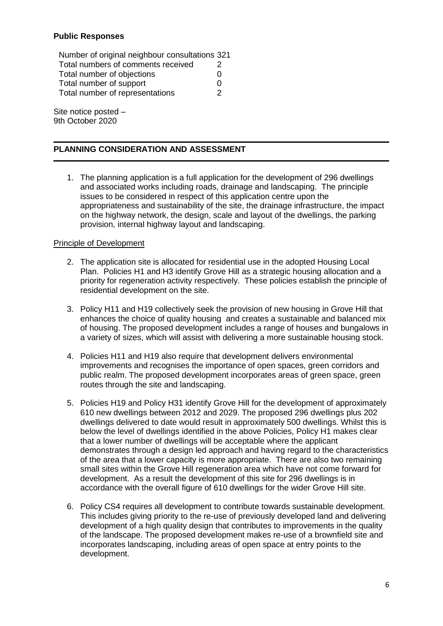# **Public Responses**

Number of original neighbour consultations 321 Total numbers of comments received 2 Total number of objections on the control of the control of the control of the control of the control of the control of the control of the control of the control of the control of the control of the control of the control Total number of support 0 Total number of representations 2

Site notice posted – 9th October 2020

## **PLANNING CONSIDERATION AND ASSESSMENT**

1. The planning application is a full application for the development of 296 dwellings and associated works including roads, drainage and landscaping. The principle issues to be considered in respect of this application centre upon the appropriateness and sustainability of the site, the drainage infrastructure, the impact on the highway network, the design, scale and layout of the dwellings, the parking provision, internal highway layout and landscaping.

### Principle of Development

- 2. The application site is allocated for residential use in the adopted Housing Local Plan. Policies H1 and H3 identify Grove Hill as a strategic housing allocation and a priority for regeneration activity respectively. These policies establish the principle of residential development on the site.
- 3. Policy H11 and H19 collectively seek the provision of new housing in Grove Hill that enhances the choice of quality housing and creates a sustainable and balanced mix of housing. The proposed development includes a range of houses and bungalows in a variety of sizes, which will assist with delivering a more sustainable housing stock.
- 4. Policies H11 and H19 also require that development delivers environmental improvements and recognises the importance of open spaces, green corridors and public realm. The proposed development incorporates areas of green space, green routes through the site and landscaping.
- 5. Policies H19 and Policy H31 identify Grove Hill for the development of approximately 610 new dwellings between 2012 and 2029. The proposed 296 dwellings plus 202 dwellings delivered to date would result in approximately 500 dwellings. Whilst this is below the level of dwellings identified in the above Policies, Policy H1 makes clear that a lower number of dwellings will be acceptable where the applicant demonstrates through a design led approach and having regard to the characteristics of the area that a lower capacity is more appropriate. There are also two remaining small sites within the Grove Hill regeneration area which have not come forward for development. As a result the development of this site for 296 dwellings is in accordance with the overall figure of 610 dwellings for the wider Grove Hill site.
- 6. Policy CS4 requires all development to contribute towards sustainable development. This includes giving priority to the re-use of previously developed land and delivering development of a high quality design that contributes to improvements in the quality of the landscape. The proposed development makes re-use of a brownfield site and incorporates landscaping, including areas of open space at entry points to the development.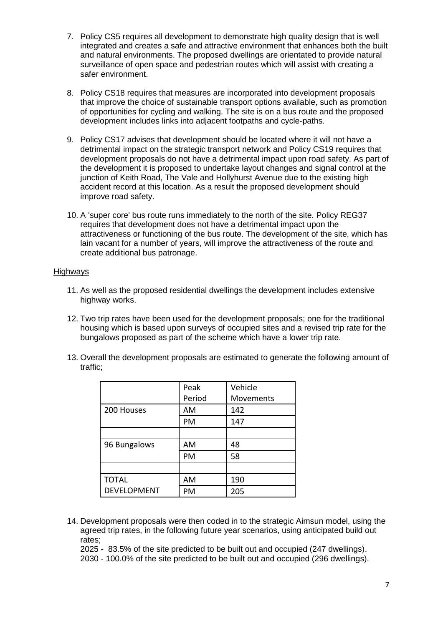- 7. Policy CS5 requires all development to demonstrate high quality design that is well integrated and creates a safe and attractive environment that enhances both the built and natural environments. The proposed dwellings are orientated to provide natural surveillance of open space and pedestrian routes which will assist with creating a safer environment.
- 8. Policy CS18 requires that measures are incorporated into development proposals that improve the choice of sustainable transport options available, such as promotion of opportunities for cycling and walking. The site is on a bus route and the proposed development includes links into adjacent footpaths and cycle-paths.
- 9. Policy CS17 advises that development should be located where it will not have a detrimental impact on the strategic transport network and Policy CS19 requires that development proposals do not have a detrimental impact upon road safety. As part of the development it is proposed to undertake layout changes and signal control at the junction of Keith Road, The Vale and Hollyhurst Avenue due to the existing high accident record at this location. As a result the proposed development should improve road safety.
- 10. A 'super core' bus route runs immediately to the north of the site. Policy REG37 requires that development does not have a detrimental impact upon the attractiveness or functioning of the bus route. The development of the site, which has lain vacant for a number of years, will improve the attractiveness of the route and create additional bus patronage.

### Highways

- 11. As well as the proposed residential dwellings the development includes extensive highway works.
- 12. Two trip rates have been used for the development proposals; one for the traditional housing which is based upon surveys of occupied sites and a revised trip rate for the bungalows proposed as part of the scheme which have a lower trip rate.
- 13. Overall the development proposals are estimated to generate the following amount of traffic;

|                    | Peak   | Vehicle   |
|--------------------|--------|-----------|
|                    | Period | Movements |
| 200 Houses         | AM     | 142       |
|                    | PM     | 147       |
|                    |        |           |
| 96 Bungalows       | AM     | 48        |
|                    | PM     | 58        |
|                    |        |           |
| <b>TOTAL</b>       | AM     | 190       |
| <b>DEVELOPMENT</b> | PM     | 205       |

- 14. Development proposals were then coded in to the strategic Aimsun model, using the agreed trip rates, in the following future year scenarios, using anticipated build out rates;
	- 2025 83.5% of the site predicted to be built out and occupied (247 dwellings).
	- 2030 100.0% of the site predicted to be built out and occupied (296 dwellings).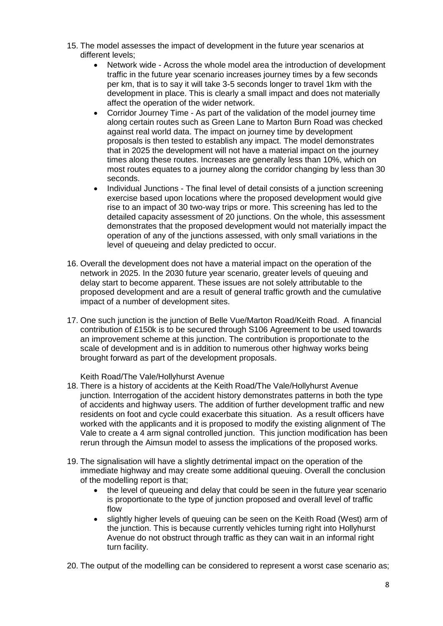- 15. The model assesses the impact of development in the future year scenarios at different levels;
	- Network wide Across the whole model area the introduction of development traffic in the future year scenario increases journey times by a few seconds per km, that is to say it will take 3-5 seconds longer to travel 1km with the development in place. This is clearly a small impact and does not materially affect the operation of the wider network.
	- Corridor Journey Time As part of the validation of the model journey time along certain routes such as Green Lane to Marton Burn Road was checked against real world data. The impact on journey time by development proposals is then tested to establish any impact. The model demonstrates that in 2025 the development will not have a material impact on the journey times along these routes. Increases are generally less than 10%, which on most routes equates to a journey along the corridor changing by less than 30 seconds.
	- Individual Junctions The final level of detail consists of a junction screening exercise based upon locations where the proposed development would give rise to an impact of 30 two-way trips or more. This screening has led to the detailed capacity assessment of 20 junctions. On the whole, this assessment demonstrates that the proposed development would not materially impact the operation of any of the junctions assessed, with only small variations in the level of queueing and delay predicted to occur.
- 16. Overall the development does not have a material impact on the operation of the network in 2025. In the 2030 future year scenario, greater levels of queuing and delay start to become apparent. These issues are not solely attributable to the proposed development and are a result of general traffic growth and the cumulative impact of a number of development sites.
- 17. One such junction is the junction of Belle Vue/Marton Road/Keith Road. A financial contribution of £150k is to be secured through S106 Agreement to be used towards an improvement scheme at this junction. The contribution is proportionate to the scale of development and is in addition to numerous other highway works being brought forward as part of the development proposals.

Keith Road/The Vale/Hollyhurst Avenue

- 18. There is a history of accidents at the Keith Road/The Vale/Hollyhurst Avenue junction. Interrogation of the accident history demonstrates patterns in both the type of accidents and highway users. The addition of further development traffic and new residents on foot and cycle could exacerbate this situation. As a result officers have worked with the applicants and it is proposed to modify the existing alignment of The Vale to create a 4 arm signal controlled junction. This junction modification has been rerun through the Aimsun model to assess the implications of the proposed works.
- 19. The signalisation will have a slightly detrimental impact on the operation of the immediate highway and may create some additional queuing. Overall the conclusion of the modelling report is that;
	- the level of queueing and delay that could be seen in the future year scenario is proportionate to the type of junction proposed and overall level of traffic flow
	- slightly higher levels of queuing can be seen on the Keith Road (West) arm of the junction. This is because currently vehicles turning right into Hollyhurst Avenue do not obstruct through traffic as they can wait in an informal right turn facility.
- 20. The output of the modelling can be considered to represent a worst case scenario as;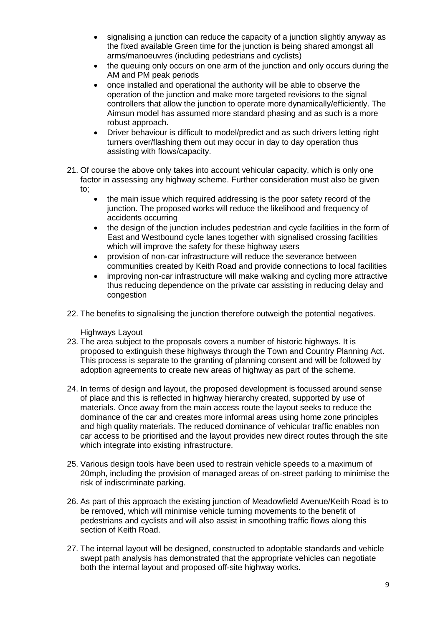- signalising a junction can reduce the capacity of a junction slightly anyway as the fixed available Green time for the junction is being shared amongst all arms/manoeuvres (including pedestrians and cyclists)
- the queuing only occurs on one arm of the junction and only occurs during the AM and PM peak periods
- once installed and operational the authority will be able to observe the operation of the junction and make more targeted revisions to the signal controllers that allow the junction to operate more dynamically/efficiently. The Aimsun model has assumed more standard phasing and as such is a more robust approach.
- Driver behaviour is difficult to model/predict and as such drivers letting right turners over/flashing them out may occur in day to day operation thus assisting with flows/capacity.
- 21. Of course the above only takes into account vehicular capacity, which is only one factor in assessing any highway scheme. Further consideration must also be given to;
	- the main issue which required addressing is the poor safety record of the junction. The proposed works will reduce the likelihood and frequency of accidents occurring
	- the design of the junction includes pedestrian and cycle facilities in the form of East and Westbound cycle lanes together with signalised crossing facilities which will improve the safety for these highway users
	- provision of non-car infrastructure will reduce the severance between communities created by Keith Road and provide connections to local facilities
	- improving non-car infrastructure will make walking and cycling more attractive thus reducing dependence on the private car assisting in reducing delay and congestion
- 22. The benefits to signalising the junction therefore outweigh the potential negatives.

Highways Layout

- 23. The area subject to the proposals covers a number of historic highways. It is proposed to extinguish these highways through the Town and Country Planning Act. This process is separate to the granting of planning consent and will be followed by adoption agreements to create new areas of highway as part of the scheme.
- 24. In terms of design and layout, the proposed development is focussed around sense of place and this is reflected in highway hierarchy created, supported by use of materials. Once away from the main access route the layout seeks to reduce the dominance of the car and creates more informal areas using home zone principles and high quality materials. The reduced dominance of vehicular traffic enables non car access to be prioritised and the layout provides new direct routes through the site which integrate into existing infrastructure.
- 25. Various design tools have been used to restrain vehicle speeds to a maximum of 20mph, including the provision of managed areas of on-street parking to minimise the risk of indiscriminate parking.
- 26. As part of this approach the existing junction of Meadowfield Avenue/Keith Road is to be removed, which will minimise vehicle turning movements to the benefit of pedestrians and cyclists and will also assist in smoothing traffic flows along this section of Keith Road.
- 27. The internal layout will be designed, constructed to adoptable standards and vehicle swept path analysis has demonstrated that the appropriate vehicles can negotiate both the internal layout and proposed off-site highway works.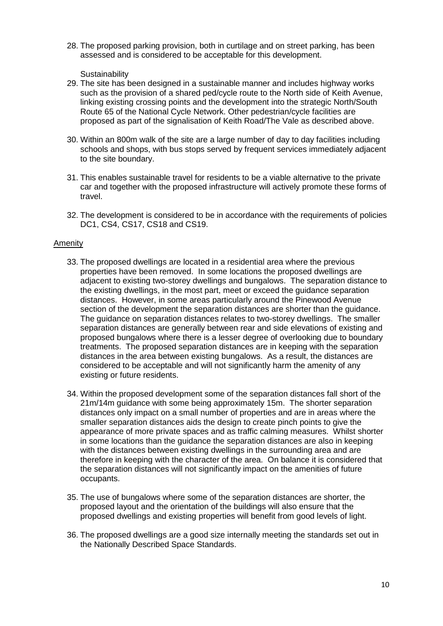28. The proposed parking provision, both in curtilage and on street parking, has been assessed and is considered to be acceptable for this development.

**Sustainability** 

- 29. The site has been designed in a sustainable manner and includes highway works such as the provision of a shared ped/cycle route to the North side of Keith Avenue, linking existing crossing points and the development into the strategic North/South Route 65 of the National Cycle Network. Other pedestrian/cycle facilities are proposed as part of the signalisation of Keith Road/The Vale as described above.
- 30. Within an 800m walk of the site are a large number of day to day facilities including schools and shops, with bus stops served by frequent services immediately adjacent to the site boundary.
- 31. This enables sustainable travel for residents to be a viable alternative to the private car and together with the proposed infrastructure will actively promote these forms of travel.
- 32. The development is considered to be in accordance with the requirements of policies DC1, CS4, CS17, CS18 and CS19.

### Amenity

- 33. The proposed dwellings are located in a residential area where the previous properties have been removed. In some locations the proposed dwellings are adjacent to existing two-storey dwellings and bungalows. The separation distance to the existing dwellings, in the most part, meet or exceed the guidance separation distances. However, in some areas particularly around the Pinewood Avenue section of the development the separation distances are shorter than the guidance. The guidance on separation distances relates to two-storey dwellings. The smaller separation distances are generally between rear and side elevations of existing and proposed bungalows where there is a lesser degree of overlooking due to boundary treatments. The proposed separation distances are in keeping with the separation distances in the area between existing bungalows. As a result, the distances are considered to be acceptable and will not significantly harm the amenity of any existing or future residents.
- 34. Within the proposed development some of the separation distances fall short of the 21m/14m guidance with some being approximately 15m. The shorter separation distances only impact on a small number of properties and are in areas where the smaller separation distances aids the design to create pinch points to give the appearance of more private spaces and as traffic calming measures. Whilst shorter in some locations than the guidance the separation distances are also in keeping with the distances between existing dwellings in the surrounding area and are therefore in keeping with the character of the area. On balance it is considered that the separation distances will not significantly impact on the amenities of future occupants.
- 35. The use of bungalows where some of the separation distances are shorter, the proposed layout and the orientation of the buildings will also ensure that the proposed dwellings and existing properties will benefit from good levels of light.
- 36. The proposed dwellings are a good size internally meeting the standards set out in the Nationally Described Space Standards.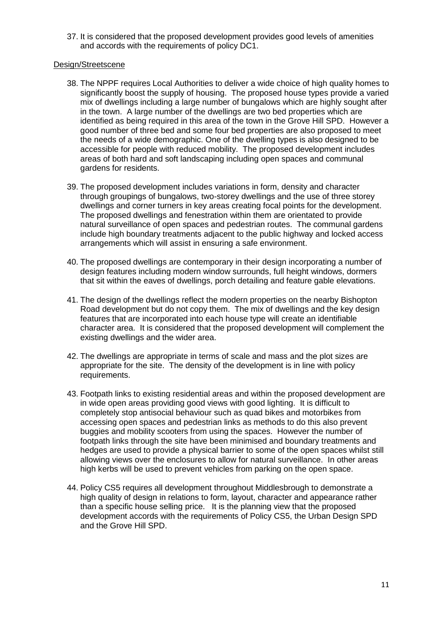37. It is considered that the proposed development provides good levels of amenities and accords with the requirements of policy DC1.

### Design/Streetscene

- 38. The NPPF requires Local Authorities to deliver a wide choice of high quality homes to significantly boost the supply of housing. The proposed house types provide a varied mix of dwellings including a large number of bungalows which are highly sought after in the town. A large number of the dwellings are two bed properties which are identified as being required in this area of the town in the Grove Hill SPD. However a good number of three bed and some four bed properties are also proposed to meet the needs of a wide demographic. One of the dwelling types is also designed to be accessible for people with reduced mobility. The proposed development includes areas of both hard and soft landscaping including open spaces and communal gardens for residents.
- 39. The proposed development includes variations in form, density and character through groupings of bungalows, two-storey dwellings and the use of three storey dwellings and corner turners in key areas creating focal points for the development. The proposed dwellings and fenestration within them are orientated to provide natural surveillance of open spaces and pedestrian routes. The communal gardens include high boundary treatments adjacent to the public highway and locked access arrangements which will assist in ensuring a safe environment.
- 40. The proposed dwellings are contemporary in their design incorporating a number of design features including modern window surrounds, full height windows, dormers that sit within the eaves of dwellings, porch detailing and feature gable elevations.
- 41. The design of the dwellings reflect the modern properties on the nearby Bishopton Road development but do not copy them. The mix of dwellings and the key design features that are incorporated into each house type will create an identifiable character area. It is considered that the proposed development will complement the existing dwellings and the wider area.
- 42. The dwellings are appropriate in terms of scale and mass and the plot sizes are appropriate for the site. The density of the development is in line with policy requirements.
- 43. Footpath links to existing residential areas and within the proposed development are in wide open areas providing good views with good lighting. It is difficult to completely stop antisocial behaviour such as quad bikes and motorbikes from accessing open spaces and pedestrian links as methods to do this also prevent buggies and mobility scooters from using the spaces. However the number of footpath links through the site have been minimised and boundary treatments and hedges are used to provide a physical barrier to some of the open spaces whilst still allowing views over the enclosures to allow for natural surveillance. In other areas high kerbs will be used to prevent vehicles from parking on the open space.
- 44. Policy CS5 requires all development throughout Middlesbrough to demonstrate a high quality of design in relations to form, layout, character and appearance rather than a specific house selling price. It is the planning view that the proposed development accords with the requirements of Policy CS5, the Urban Design SPD and the Grove Hill SPD.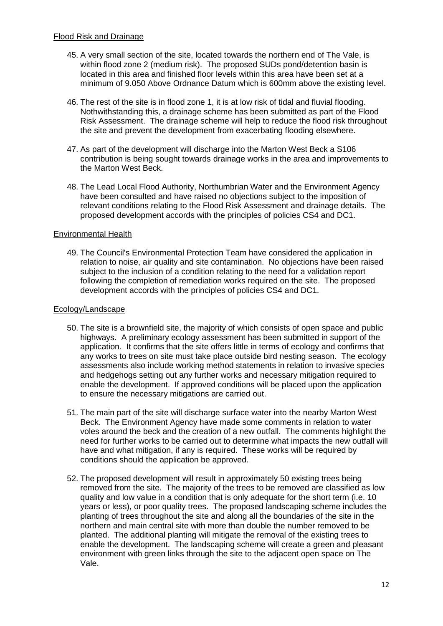- 45. A very small section of the site, located towards the northern end of The Vale, is within flood zone 2 (medium risk). The proposed SUDs pond/detention basin is located in this area and finished floor levels within this area have been set at a minimum of 9.050 Above Ordnance Datum which is 600mm above the existing level.
- 46. The rest of the site is in flood zone 1, it is at low risk of tidal and fluvial flooding. Nothwithstanding this, a drainage scheme has been submitted as part of the Flood Risk Assessment. The drainage scheme will help to reduce the flood risk throughout the site and prevent the development from exacerbating flooding elsewhere.
- 47. As part of the development will discharge into the Marton West Beck a S106 contribution is being sought towards drainage works in the area and improvements to the Marton West Beck.
- 48. The Lead Local Flood Authority, Northumbrian Water and the Environment Agency have been consulted and have raised no objections subject to the imposition of relevant conditions relating to the Flood Risk Assessment and drainage details. The proposed development accords with the principles of policies CS4 and DC1.

### Environmental Health

49. The Council's Environmental Protection Team have considered the application in relation to noise, air quality and site contamination. No objections have been raised subject to the inclusion of a condition relating to the need for a validation report following the completion of remediation works required on the site. The proposed development accords with the principles of policies CS4 and DC1.

# Ecology/Landscape

- 50. The site is a brownfield site, the majority of which consists of open space and public highways. A preliminary ecology assessment has been submitted in support of the application. It confirms that the site offers little in terms of ecology and confirms that any works to trees on site must take place outside bird nesting season. The ecology assessments also include working method statements in relation to invasive species and hedgehogs setting out any further works and necessary mitigation required to enable the development. If approved conditions will be placed upon the application to ensure the necessary mitigations are carried out.
- 51. The main part of the site will discharge surface water into the nearby Marton West Beck. The Environment Agency have made some comments in relation to water voles around the beck and the creation of a new outfall. The comments highlight the need for further works to be carried out to determine what impacts the new outfall will have and what mitigation, if any is required. These works will be required by conditions should the application be approved.
- 52. The proposed development will result in approximately 50 existing trees being removed from the site. The majority of the trees to be removed are classified as low quality and low value in a condition that is only adequate for the short term (i.e. 10 years or less), or poor quality trees. The proposed landscaping scheme includes the planting of trees throughout the site and along all the boundaries of the site in the northern and main central site with more than double the number removed to be planted. The additional planting will mitigate the removal of the existing trees to enable the development. The landscaping scheme will create a green and pleasant environment with green links through the site to the adjacent open space on The Vale.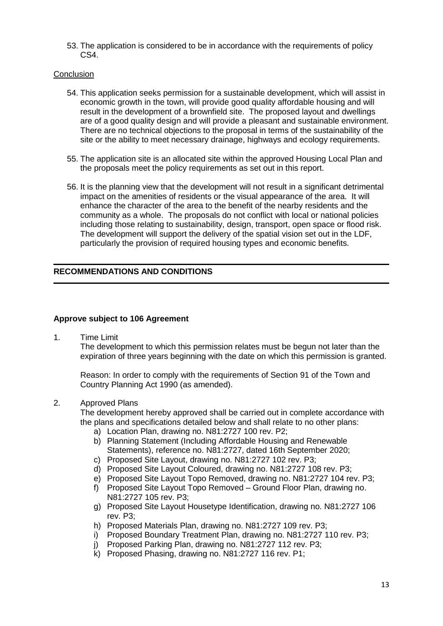53. The application is considered to be in accordance with the requirements of policy CS4.

### **Conclusion**

- 54. This application seeks permission for a sustainable development, which will assist in economic growth in the town, will provide good quality affordable housing and will result in the development of a brownfield site. The proposed layout and dwellings are of a good quality design and will provide a pleasant and sustainable environment. There are no technical objections to the proposal in terms of the sustainability of the site or the ability to meet necessary drainage, highways and ecology requirements.
- 55. The application site is an allocated site within the approved Housing Local Plan and the proposals meet the policy requirements as set out in this report.
- 56. It is the planning view that the development will not result in a significant detrimental impact on the amenities of residents or the visual appearance of the area. It will enhance the character of the area to the benefit of the nearby residents and the community as a whole. The proposals do not conflict with local or national policies including those relating to sustainability, design, transport, open space or flood risk. The development will support the delivery of the spatial vision set out in the LDF, particularly the provision of required housing types and economic benefits.

# **RECOMMENDATIONS AND CONDITIONS**

#### **Approve subject to 106 Agreement**

1. Time Limit

The development to which this permission relates must be begun not later than the expiration of three years beginning with the date on which this permission is granted.

Reason: In order to comply with the requirements of Section 91 of the Town and Country Planning Act 1990 (as amended).

#### 2. Approved Plans

The development hereby approved shall be carried out in complete accordance with the plans and specifications detailed below and shall relate to no other plans:

- a) Location Plan, drawing no. N81:2727 100 rev. P2;
- b) Planning Statement (Including Affordable Housing and Renewable Statements), reference no. N81:2727, dated 16th September 2020;
- c) Proposed Site Layout, drawing no. N81:2727 102 rev. P3;
- d) Proposed Site Layout Coloured, drawing no. N81:2727 108 rev. P3;
- e) Proposed Site Layout Topo Removed, drawing no. N81:2727 104 rev. P3;
- f) Proposed Site Layout Topo Removed Ground Floor Plan, drawing no. N81:2727 105 rev. P3;
- g) Proposed Site Layout Housetype Identification, drawing no. N81:2727 106 rev. P3;
- h) Proposed Materials Plan, drawing no. N81:2727 109 rev. P3;
- i) Proposed Boundary Treatment Plan, drawing no. N81:2727 110 rev. P3;
- Proposed Parking Plan, drawing no. N81:2727 112 rev. P3;
- k) Proposed Phasing, drawing no. N81:2727 116 rev. P1;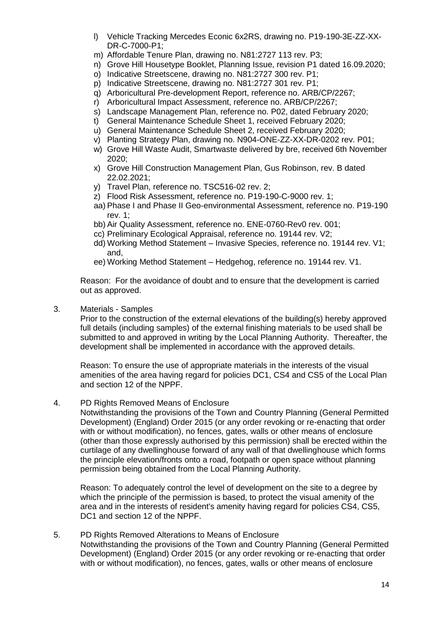- l) Vehicle Tracking Mercedes Econic 6x2RS, drawing no. P19-190-3E-ZZ-XX-DR-C-7000-P1;
- m) Affordable Tenure Plan, drawing no. N81:2727 113 rev. P3;
- n) Grove Hill Housetype Booklet, Planning Issue, revision P1 dated 16.09.2020;
- o) Indicative Streetscene, drawing no. N81:2727 300 rev. P1;
- p) Indicative Streetscene, drawing no. N81:2727 301 rev. P1;
- q) Arboricultural Pre-development Report, reference no. ARB/CP/2267;
- r) Arboricultural Impact Assessment, reference no. ARB/CP/2267;
- s) Landscape Management Plan, reference no. P02, dated February 2020;
- t) General Maintenance Schedule Sheet 1, received February 2020;
- u) General Maintenance Schedule Sheet 2, received February 2020;
- v) Planting Strategy Plan, drawing no. N904-ONE-ZZ-XX-DR-0202 rev. P01;
- w) Grove Hill Waste Audit, Smartwaste delivered by bre, received 6th November 2020;
- x) Grove Hill Construction Management Plan, Gus Robinson, rev. B dated 22.02.2021;
- y) Travel Plan, reference no. TSC516-02 rev. 2;
- z) Flood Risk Assessment, reference no. P19-190-C-9000 rev. 1;
- aa) Phase I and Phase II Geo-environmental Assessment, reference no. P19-190 rev. 1;
- bb) Air Quality Assessment, reference no. ENE-0760-Rev0 rev. 001;
- cc) Preliminary Ecological Appraisal, reference no. 19144 rev. V2;
- dd) Working Method Statement Invasive Species, reference no. 19144 rev. V1; and,
- ee) Working Method Statement Hedgehog, reference no. 19144 rev. V1.

Reason: For the avoidance of doubt and to ensure that the development is carried out as approved.

3. Materials - Samples

Prior to the construction of the external elevations of the building(s) hereby approved full details (including samples) of the external finishing materials to be used shall be submitted to and approved in writing by the Local Planning Authority. Thereafter, the development shall be implemented in accordance with the approved details.

Reason: To ensure the use of appropriate materials in the interests of the visual amenities of the area having regard for policies DC1, CS4 and CS5 of the Local Plan and section 12 of the NPPF.

### 4. PD Rights Removed Means of Enclosure

Notwithstanding the provisions of the Town and Country Planning (General Permitted Development) (England) Order 2015 (or any order revoking or re-enacting that order with or without modification), no fences, gates, walls or other means of enclosure (other than those expressly authorised by this permission) shall be erected within the curtilage of any dwellinghouse forward of any wall of that dwellinghouse which forms the principle elevation/fronts onto a road, footpath or open space without planning permission being obtained from the Local Planning Authority.

Reason: To adequately control the level of development on the site to a degree by which the principle of the permission is based, to protect the visual amenity of the area and in the interests of resident's amenity having regard for policies CS4, CS5, DC1 and section 12 of the NPPF.

#### 5. PD Rights Removed Alterations to Means of Enclosure Notwithstanding the provisions of the Town and Country Planning (General Permitted Development) (England) Order 2015 (or any order revoking or re-enacting that order with or without modification), no fences, gates, walls or other means of enclosure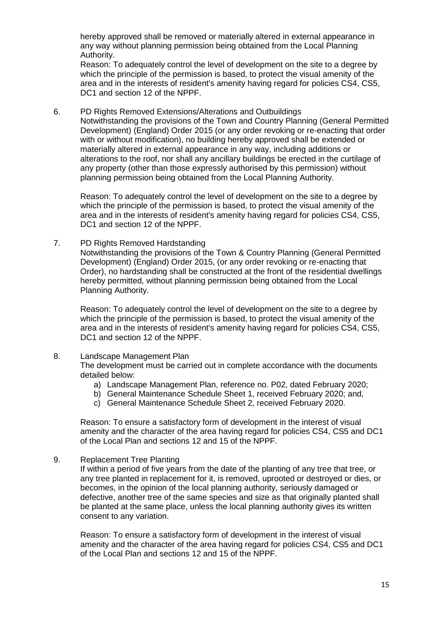hereby approved shall be removed or materially altered in external appearance in any way without planning permission being obtained from the Local Planning Authority.

Reason: To adequately control the level of development on the site to a degree by which the principle of the permission is based, to protect the visual amenity of the area and in the interests of resident's amenity having regard for policies CS4, CS5, DC1 and section 12 of the NPPF.

6. PD Rights Removed Extensions/Alterations and Outbuildings Notwithstanding the provisions of the Town and Country Planning (General Permitted Development) (England) Order 2015 (or any order revoking or re-enacting that order with or without modification), no building hereby approved shall be extended or materially altered in external appearance in any way, including additions or alterations to the roof, nor shall any ancillary buildings be erected in the curtilage of any property (other than those expressly authorised by this permission) without planning permission being obtained from the Local Planning Authority.

Reason: To adequately control the level of development on the site to a degree by which the principle of the permission is based, to protect the visual amenity of the area and in the interests of resident's amenity having regard for policies CS4, CS5, DC1 and section 12 of the NPPF.

7. PD Rights Removed Hardstanding

Notwithstanding the provisions of the Town & Country Planning (General Permitted Development) (England) Order 2015, (or any order revoking or re-enacting that Order), no hardstanding shall be constructed at the front of the residential dwellings hereby permitted, without planning permission being obtained from the Local Planning Authority.

Reason: To adequately control the level of development on the site to a degree by which the principle of the permission is based, to protect the visual amenity of the area and in the interests of resident's amenity having regard for policies CS4, CS5, DC1 and section 12 of the NPPF.

8. Landscape Management Plan

The development must be carried out in complete accordance with the documents detailed below:

- a) Landscape Management Plan, reference no. P02, dated February 2020;
- b) General Maintenance Schedule Sheet 1, received February 2020; and,
- c) General Maintenance Schedule Sheet 2, received February 2020.

Reason: To ensure a satisfactory form of development in the interest of visual amenity and the character of the area having regard for policies CS4, CS5 and DC1 of the Local Plan and sections 12 and 15 of the NPPF.

9. Replacement Tree Planting

If within a period of five years from the date of the planting of any tree that tree, or any tree planted in replacement for it, is removed, uprooted or destroyed or dies, or becomes, in the opinion of the local planning authority, seriously damaged or defective, another tree of the same species and size as that originally planted shall be planted at the same place, unless the local planning authority gives its written consent to any variation.

Reason: To ensure a satisfactory form of development in the interest of visual amenity and the character of the area having regard for policies CS4, CS5 and DC1 of the Local Plan and sections 12 and 15 of the NPPF.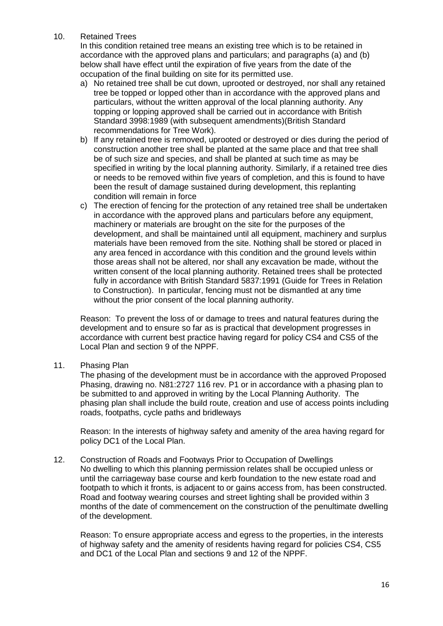10. Retained Trees

In this condition retained tree means an existing tree which is to be retained in accordance with the approved plans and particulars; and paragraphs (a) and (b) below shall have effect until the expiration of five years from the date of the occupation of the final building on site for its permitted use.

- a) No retained tree shall be cut down, uprooted or destroyed, nor shall any retained tree be topped or lopped other than in accordance with the approved plans and particulars, without the written approval of the local planning authority. Any topping or lopping approved shall be carried out in accordance with British Standard 3998:1989 (with subsequent amendments)(British Standard recommendations for Tree Work).
- b) If any retained tree is removed, uprooted or destroyed or dies during the period of construction another tree shall be planted at the same place and that tree shall be of such size and species, and shall be planted at such time as may be specified in writing by the local planning authority. Similarly, if a retained tree dies or needs to be removed within five years of completion, and this is found to have been the result of damage sustained during development, this replanting condition will remain in force
- c) The erection of fencing for the protection of any retained tree shall be undertaken in accordance with the approved plans and particulars before any equipment, machinery or materials are brought on the site for the purposes of the development, and shall be maintained until all equipment, machinery and surplus materials have been removed from the site. Nothing shall be stored or placed in any area fenced in accordance with this condition and the ground levels within those areas shall not be altered, nor shall any excavation be made, without the written consent of the local planning authority. Retained trees shall be protected fully in accordance with British Standard 5837:1991 (Guide for Trees in Relation to Construction). In particular, fencing must not be dismantled at any time without the prior consent of the local planning authority.

Reason: To prevent the loss of or damage to trees and natural features during the development and to ensure so far as is practical that development progresses in accordance with current best practice having regard for policy CS4 and CS5 of the Local Plan and section 9 of the NPPF.

11. Phasing Plan

The phasing of the development must be in accordance with the approved Proposed Phasing, drawing no. N81:2727 116 rev. P1 or in accordance with a phasing plan to be submitted to and approved in writing by the Local Planning Authority. The phasing plan shall include the build route, creation and use of access points including roads, footpaths, cycle paths and bridleways

Reason: In the interests of highway safety and amenity of the area having regard for policy DC1 of the Local Plan.

12. Construction of Roads and Footways Prior to Occupation of Dwellings No dwelling to which this planning permission relates shall be occupied unless or until the carriageway base course and kerb foundation to the new estate road and footpath to which it fronts, is adjacent to or gains access from, has been constructed. Road and footway wearing courses and street lighting shall be provided within 3 months of the date of commencement on the construction of the penultimate dwelling of the development.

Reason: To ensure appropriate access and egress to the properties, in the interests of highway safety and the amenity of residents having regard for policies CS4, CS5 and DC1 of the Local Plan and sections 9 and 12 of the NPPF.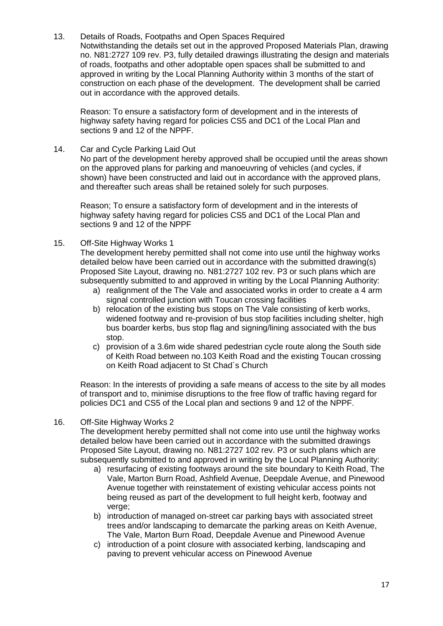13. Details of Roads, Footpaths and Open Spaces Required Notwithstanding the details set out in the approved Proposed Materials Plan, drawing no. N81:2727 109 rev. P3, fully detailed drawings illustrating the design and materials of roads, footpaths and other adoptable open spaces shall be submitted to and approved in writing by the Local Planning Authority within 3 months of the start of construction on each phase of the development. The development shall be carried out in accordance with the approved details.

Reason: To ensure a satisfactory form of development and in the interests of highway safety having regard for policies CS5 and DC1 of the Local Plan and sections 9 and 12 of the NPPF.

14. Car and Cycle Parking Laid Out

No part of the development hereby approved shall be occupied until the areas shown on the approved plans for parking and manoeuvring of vehicles (and cycles, if shown) have been constructed and laid out in accordance with the approved plans, and thereafter such areas shall be retained solely for such purposes.

Reason; To ensure a satisfactory form of development and in the interests of highway safety having regard for policies CS5 and DC1 of the Local Plan and sections 9 and 12 of the NPPF

15. Off-Site Highway Works 1

The development hereby permitted shall not come into use until the highway works detailed below have been carried out in accordance with the submitted drawing(s) Proposed Site Layout, drawing no. N81:2727 102 rev. P3 or such plans which are subsequently submitted to and approved in writing by the Local Planning Authority:

- a) realignment of the The Vale and associated works in order to create a 4 arm signal controlled junction with Toucan crossing facilities
- b) relocation of the existing bus stops on The Vale consisting of kerb works, widened footway and re-provision of bus stop facilities including shelter, high bus boarder kerbs, bus stop flag and signing/lining associated with the bus stop.
- c) provision of a 3.6m wide shared pedestrian cycle route along the South side of Keith Road between no.103 Keith Road and the existing Toucan crossing on Keith Road adjacent to St Chad`s Church

Reason: In the interests of providing a safe means of access to the site by all modes of transport and to, minimise disruptions to the free flow of traffic having regard for policies DC1 and CS5 of the Local plan and sections 9 and 12 of the NPPF.

16. Off-Site Highway Works 2

The development hereby permitted shall not come into use until the highway works detailed below have been carried out in accordance with the submitted drawings Proposed Site Layout, drawing no. N81:2727 102 rev. P3 or such plans which are subsequently submitted to and approved in writing by the Local Planning Authority:

- a) resurfacing of existing footways around the site boundary to Keith Road, The Vale, Marton Burn Road, Ashfield Avenue, Deepdale Avenue, and Pinewood Avenue together with reinstatement of existing vehicular access points not being reused as part of the development to full height kerb, footway and verge;
- b) introduction of managed on-street car parking bays with associated street trees and/or landscaping to demarcate the parking areas on Keith Avenue, The Vale, Marton Burn Road, Deepdale Avenue and Pinewood Avenue
- c) introduction of a point closure with associated kerbing, landscaping and paving to prevent vehicular access on Pinewood Avenue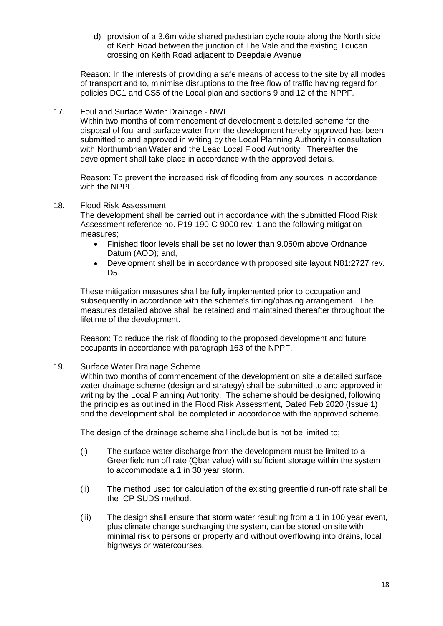d) provision of a 3.6m wide shared pedestrian cycle route along the North side of Keith Road between the junction of The Vale and the existing Toucan crossing on Keith Road adjacent to Deepdale Avenue

Reason: In the interests of providing a safe means of access to the site by all modes of transport and to, minimise disruptions to the free flow of traffic having regard for policies DC1 and CS5 of the Local plan and sections 9 and 12 of the NPPF.

17. Foul and Surface Water Drainage - NWL

Within two months of commencement of development a detailed scheme for the disposal of foul and surface water from the development hereby approved has been submitted to and approved in writing by the Local Planning Authority in consultation with Northumbrian Water and the Lead Local Flood Authority. Thereafter the development shall take place in accordance with the approved details.

Reason: To prevent the increased risk of flooding from any sources in accordance with the NPPF.

18. Flood Risk Assessment

The development shall be carried out in accordance with the submitted Flood Risk Assessment reference no. P19-190-C-9000 rev. 1 and the following mitigation measures;

- Finished floor levels shall be set no lower than 9.050m above Ordnance Datum (AOD); and,
- Development shall be in accordance with proposed site layout N81:2727 rev. D<sub>5</sub>.

These mitigation measures shall be fully implemented prior to occupation and subsequently in accordance with the scheme's timing/phasing arrangement. The measures detailed above shall be retained and maintained thereafter throughout the lifetime of the development.

Reason: To reduce the risk of flooding to the proposed development and future occupants in accordance with paragraph 163 of the NPPF.

### 19. Surface Water Drainage Scheme

Within two months of commencement of the development on site a detailed surface water drainage scheme (design and strategy) shall be submitted to and approved in writing by the Local Planning Authority. The scheme should be designed, following the principles as outlined in the Flood Risk Assessment, Dated Feb 2020 (Issue 1) and the development shall be completed in accordance with the approved scheme.

The design of the drainage scheme shall include but is not be limited to;

- (i) The surface water discharge from the development must be limited to a Greenfield run off rate (Qbar value) with sufficient storage within the system to accommodate a 1 in 30 year storm.
- (ii) The method used for calculation of the existing greenfield run-off rate shall be the ICP SUDS method.
- (iii) The design shall ensure that storm water resulting from a 1 in 100 year event, plus climate change surcharging the system, can be stored on site with minimal risk to persons or property and without overflowing into drains, local highways or watercourses.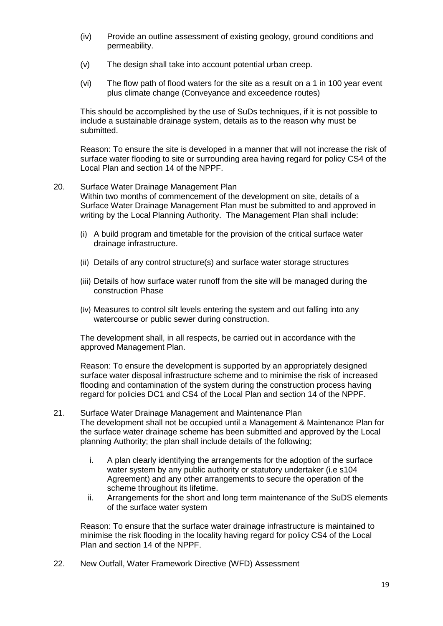- (iv) Provide an outline assessment of existing geology, ground conditions and permeability.
- (v) The design shall take into account potential urban creep.
- (vi) The flow path of flood waters for the site as a result on a 1 in 100 year event plus climate change (Conveyance and exceedence routes)

This should be accomplished by the use of SuDs techniques, if it is not possible to include a sustainable drainage system, details as to the reason why must be submitted.

Reason: To ensure the site is developed in a manner that will not increase the risk of surface water flooding to site or surrounding area having regard for policy CS4 of the Local Plan and section 14 of the NPPF.

- 20. Surface Water Drainage Management Plan Within two months of commencement of the development on site, details of a Surface Water Drainage Management Plan must be submitted to and approved in writing by the Local Planning Authority. The Management Plan shall include:
	- (i) A build program and timetable for the provision of the critical surface water drainage infrastructure.
	- (ii) Details of any control structure(s) and surface water storage structures
	- (iii) Details of how surface water runoff from the site will be managed during the construction Phase
	- (iv) Measures to control silt levels entering the system and out falling into any watercourse or public sewer during construction.

The development shall, in all respects, be carried out in accordance with the approved Management Plan.

Reason: To ensure the development is supported by an appropriately designed surface water disposal infrastructure scheme and to minimise the risk of increased flooding and contamination of the system during the construction process having regard for policies DC1 and CS4 of the Local Plan and section 14 of the NPPF.

- 21. Surface Water Drainage Management and Maintenance Plan The development shall not be occupied until a Management & Maintenance Plan for the surface water drainage scheme has been submitted and approved by the Local planning Authority; the plan shall include details of the following;
	- i. A plan clearly identifying the arrangements for the adoption of the surface water system by any public authority or statutory undertaker (i.e s104) Agreement) and any other arrangements to secure the operation of the scheme throughout its lifetime.
	- ii. Arrangements for the short and long term maintenance of the SuDS elements of the surface water system

Reason: To ensure that the surface water drainage infrastructure is maintained to minimise the risk flooding in the locality having regard for policy CS4 of the Local Plan and section 14 of the NPPF.

22. New Outfall, Water Framework Directive (WFD) Assessment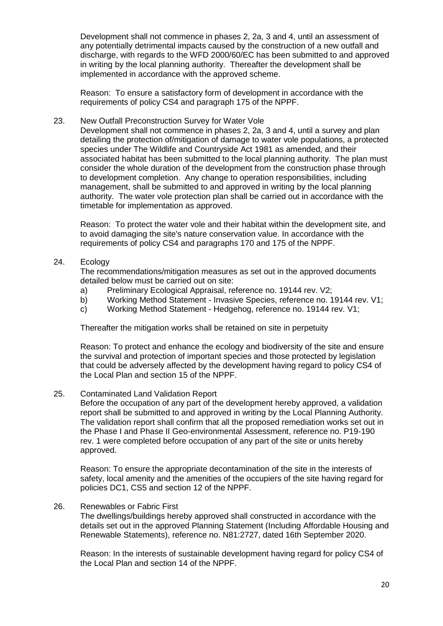Development shall not commence in phases 2, 2a, 3 and 4, until an assessment of any potentially detrimental impacts caused by the construction of a new outfall and discharge, with regards to the WFD 2000/60/EC has been submitted to and approved in writing by the local planning authority. Thereafter the development shall be implemented in accordance with the approved scheme.

Reason: To ensure a satisfactory form of development in accordance with the requirements of policy CS4 and paragraph 175 of the NPPF.

#### 23. New Outfall Preconstruction Survey for Water Vole

Development shall not commence in phases 2, 2a, 3 and 4, until a survey and plan detailing the protection of/mitigation of damage to water vole populations, a protected species under The Wildlife and Countryside Act 1981 as amended, and their associated habitat has been submitted to the local planning authority. The plan must consider the whole duration of the development from the construction phase through to development completion. Any change to operation responsibilities, including management, shall be submitted to and approved in writing by the local planning authority. The water vole protection plan shall be carried out in accordance with the timetable for implementation as approved.

Reason: To protect the water vole and their habitat within the development site, and to avoid damaging the site's nature conservation value. In accordance with the requirements of policy CS4 and paragraphs 170 and 175 of the NPPF.

### 24. Ecology

The recommendations/mitigation measures as set out in the approved documents detailed below must be carried out on site:

- a) Preliminary Ecological Appraisal, reference no. 19144 rev. V2;
- b) Working Method Statement Invasive Species, reference no. 19144 rev. V1;
- c) Working Method Statement Hedgehog, reference no. 19144 rev. V1;

Thereafter the mitigation works shall be retained on site in perpetuity

Reason: To protect and enhance the ecology and biodiversity of the site and ensure the survival and protection of important species and those protected by legislation that could be adversely affected by the development having regard to policy CS4 of the Local Plan and section 15 of the NPPF.

25. Contaminated Land Validation Report

Before the occupation of any part of the development hereby approved, a validation report shall be submitted to and approved in writing by the Local Planning Authority. The validation report shall confirm that all the proposed remediation works set out in the Phase I and Phase II Geo-environmental Assessment, reference no. P19-190 rev. 1 were completed before occupation of any part of the site or units hereby approved.

Reason: To ensure the appropriate decontamination of the site in the interests of safety, local amenity and the amenities of the occupiers of the site having regard for policies DC1, CS5 and section 12 of the NPPF.

### 26. Renewables or Fabric First

The dwellings/buildings hereby approved shall constructed in accordance with the details set out in the approved Planning Statement (Including Affordable Housing and Renewable Statements), reference no. N81:2727, dated 16th September 2020.

Reason: In the interests of sustainable development having regard for policy CS4 of the Local Plan and section 14 of the NPPF.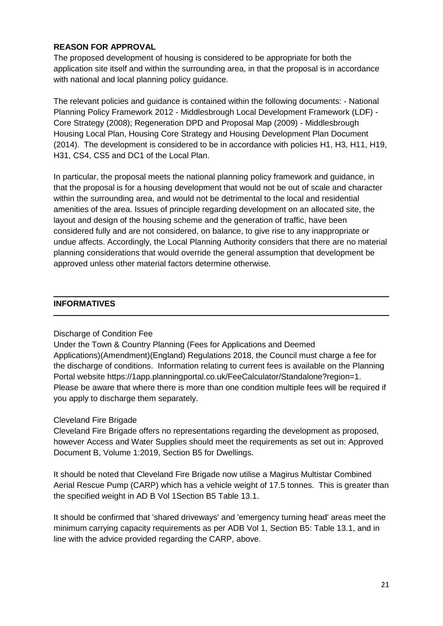# **REASON FOR APPROVAL**

The proposed development of housing is considered to be appropriate for both the application site itself and within the surrounding area, in that the proposal is in accordance with national and local planning policy quidance.

The relevant policies and guidance is contained within the following documents: - National Planning Policy Framework 2012 - Middlesbrough Local Development Framework (LDF) - Core Strategy (2008); Regeneration DPD and Proposal Map (2009) - Middlesbrough Housing Local Plan, Housing Core Strategy and Housing Development Plan Document (2014). The development is considered to be in accordance with policies H1, H3, H11, H19, H31, CS4, CS5 and DC1 of the Local Plan.

In particular, the proposal meets the national planning policy framework and guidance, in that the proposal is for a housing development that would not be out of scale and character within the surrounding area, and would not be detrimental to the local and residential amenities of the area. Issues of principle regarding development on an allocated site, the layout and design of the housing scheme and the generation of traffic, have been considered fully and are not considered, on balance, to give rise to any inappropriate or undue affects. Accordingly, the Local Planning Authority considers that there are no material planning considerations that would override the general assumption that development be approved unless other material factors determine otherwise.

# **INFORMATIVES**

### Discharge of Condition Fee

Under the Town & Country Planning (Fees for Applications and Deemed Applications)(Amendment)(England) Regulations 2018, the Council must charge a fee for the discharge of conditions. Information relating to current fees is available on the Planning Portal website https://1app.planningportal.co.uk/FeeCalculator/Standalone?region=1. Please be aware that where there is more than one condition multiple fees will be required if you apply to discharge them separately.

### Cleveland Fire Brigade

Cleveland Fire Brigade offers no representations regarding the development as proposed, however Access and Water Supplies should meet the requirements as set out in: Approved Document B, Volume 1:2019, Section B5 for Dwellings.

It should be noted that Cleveland Fire Brigade now utilise a Magirus Multistar Combined Aerial Rescue Pump (CARP) which has a vehicle weight of 17.5 tonnes. This is greater than the specified weight in AD B Vol 1Section B5 Table 13.1.

It should be confirmed that 'shared driveways' and 'emergency turning head' areas meet the minimum carrying capacity requirements as per ADB Vol 1, Section B5: Table 13.1, and in line with the advice provided regarding the CARP, above.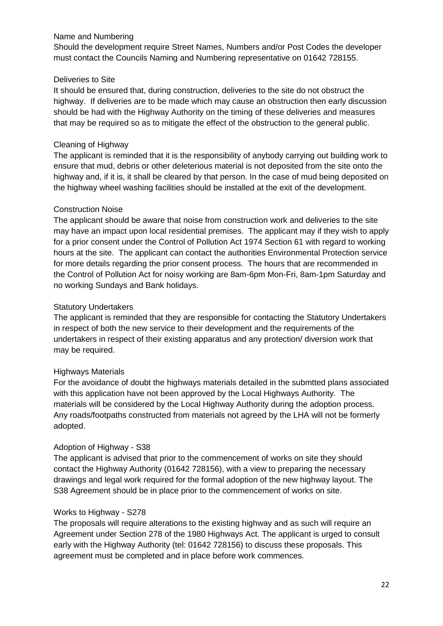## Name and Numbering

Should the development require Street Names, Numbers and/or Post Codes the developer must contact the Councils Naming and Numbering representative on 01642 728155.

## Deliveries to Site

It should be ensured that, during construction, deliveries to the site do not obstruct the highway. If deliveries are to be made which may cause an obstruction then early discussion should be had with the Highway Authority on the timing of these deliveries and measures that may be required so as to mitigate the effect of the obstruction to the general public.

# Cleaning of Highway

The applicant is reminded that it is the responsibility of anybody carrying out building work to ensure that mud, debris or other deleterious material is not deposited from the site onto the highway and, if it is, it shall be cleared by that person. In the case of mud being deposited on the highway wheel washing facilities should be installed at the exit of the development.

# Construction Noise

The applicant should be aware that noise from construction work and deliveries to the site may have an impact upon local residential premises. The applicant may if they wish to apply for a prior consent under the Control of Pollution Act 1974 Section 61 with regard to working hours at the site. The applicant can contact the authorities Environmental Protection service for more details regarding the prior consent process. The hours that are recommended in the Control of Pollution Act for noisy working are 8am-6pm Mon-Fri, 8am-1pm Saturday and no working Sundays and Bank holidays.

# Statutory Undertakers

The applicant is reminded that they are responsible for contacting the Statutory Undertakers in respect of both the new service to their development and the requirements of the undertakers in respect of their existing apparatus and any protection/ diversion work that may be required.

# Highways Materials

For the avoidance of doubt the highways materials detailed in the submtted plans associated with this application have not been approved by the Local Highways Authority. The materials will be considered by the Local Highway Authority during the adoption process. Any roads/footpaths constructed from materials not agreed by the LHA will not be formerly adopted.

# Adoption of Highway - S38

The applicant is advised that prior to the commencement of works on site they should contact the Highway Authority (01642 728156), with a view to preparing the necessary drawings and legal work required for the formal adoption of the new highway layout. The S38 Agreement should be in place prior to the commencement of works on site.

# Works to Highway - S278

The proposals will require alterations to the existing highway and as such will require an Agreement under Section 278 of the 1980 Highways Act. The applicant is urged to consult early with the Highway Authority (tel: 01642 728156) to discuss these proposals. This agreement must be completed and in place before work commences.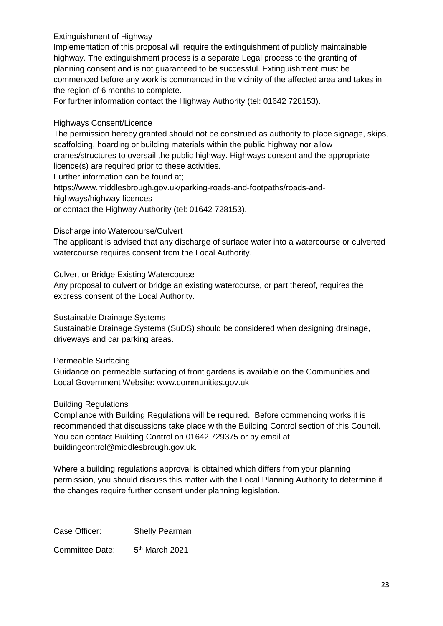# Extinguishment of Highway

Implementation of this proposal will require the extinguishment of publicly maintainable highway. The extinguishment process is a separate Legal process to the granting of planning consent and is not guaranteed to be successful. Extinguishment must be commenced before any work is commenced in the vicinity of the affected area and takes in the region of 6 months to complete.

For further information contact the Highway Authority (tel: 01642 728153).

# Highways Consent/Licence

The permission hereby granted should not be construed as authority to place signage, skips, scaffolding, hoarding or building materials within the public highway nor allow cranes/structures to oversail the public highway. Highways consent and the appropriate

licence(s) are required prior to these activities.

Further information can be found at;

https://www.middlesbrough.gov.uk/parking-roads-and-footpaths/roads-and-

highways/highway-licences

or contact the Highway Authority (tel: 01642 728153).

Discharge into Watercourse/Culvert

The applicant is advised that any discharge of surface water into a watercourse or culverted watercourse requires consent from the Local Authority.

Culvert or Bridge Existing Watercourse

Any proposal to culvert or bridge an existing watercourse, or part thereof, requires the express consent of the Local Authority.

Sustainable Drainage Systems

Sustainable Drainage Systems (SuDS) should be considered when designing drainage, driveways and car parking areas.

Permeable Surfacing

Guidance on permeable surfacing of front gardens is available on the Communities and Local Government Website: www.communities.gov.uk

### Building Regulations

Compliance with Building Regulations will be required. Before commencing works it is recommended that discussions take place with the Building Control section of this Council. You can contact Building Control on 01642 729375 or by email at buildingcontrol@middlesbrough.gov.uk.

Where a building regulations approval is obtained which differs from your planning permission, you should discuss this matter with the Local Planning Authority to determine if the changes require further consent under planning legislation.

Case Officer: Shelly Pearman

Committee Date:  $5<sup>th</sup>$  March 2021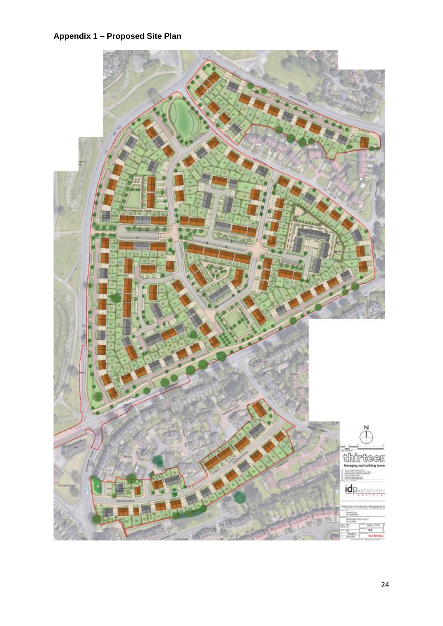# **Appendix 1 – Proposed Site Plan**